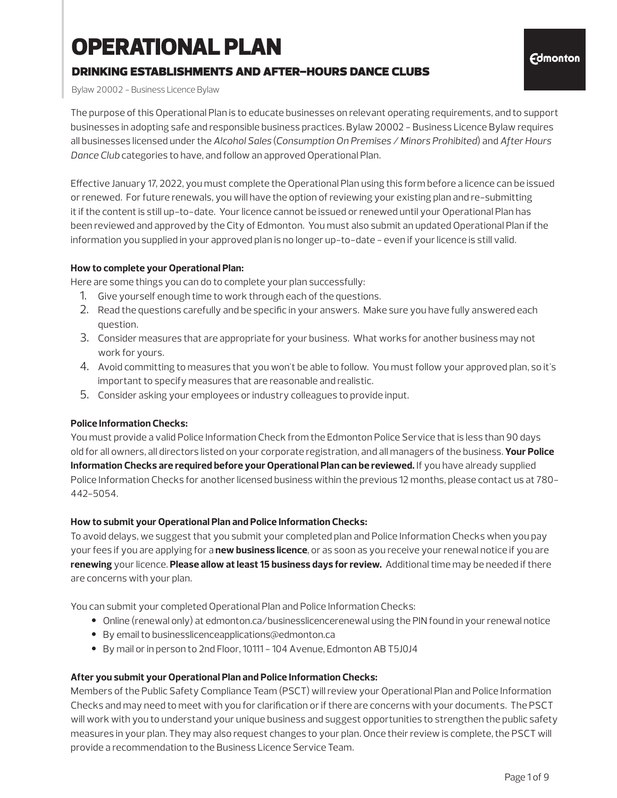# OPERATIONAL PLAN

### drinking establishments and after-hours dance clubs

Bylaw 20002 - Business Licence Bylaw

The purpose of this Operational Plan is to educate businesses on relevant operating requirements, and to support businesses in adopting safe and responsible business practices. Bylaw 20002 - Business Licence Bylaw requires all businesses licensed under the *Alcohol Sales* (*Consumption On Premises / Minors Prohibited*) and *After Hours Dance Club* categories to have, and follow an approved Operational Plan.

Effective January 17, 2022, you must complete the Operational Plan using this form before a licence can be issued or renewed. For future renewals, you will have the option of reviewing your existing plan and re-submitting it if the content is still up-to-date. Your licence cannot be issued or renewed until your Operational Plan has been reviewed and approved by the City of Edmonton. You must also submit an updated Operational Plan if the information you supplied in your approved plan is no longer up-to-date - even if your licence is still valid.

#### **How to complete your Operational Plan:**

Here are some things you can do to complete your plan successfully:

- 1. Give yourself enough time to work through each of the questions.
- 2. Read the questions carefully and be specific in your answers. Make sure you have fully answered each question.
- 3. Consider measures that are appropriate for your business. What works for another business may not work for yours.
- 4. Avoid committing to measures that you won't be able to follow. You must follow your approved plan, so it's important to specify measures that are reasonable and realistic.
- 5. Consider asking your employees or industry colleagues to provide input.

#### **Police Information Checks:**

You must provide a valid Police Information Check from the Edmonton Police Service that is less than 90 days old for all owners, all directors listed on your corporate registration, and all managers of the business. **Your Police Information Checks are required before your Operational Plan can be reviewed.** If you have already supplied Police Information Checks for another licensed business within the previous 12 months, please contact us at 780- 442-5054.

#### **How to submit your Operational Plan and Police Information Checks:**

To avoid delays, we suggest that you submit your completed plan and Police Information Checks when you pay your fees if you are applying for a **new business licence**, or as soon as you receive your renewal notice if you are **renewing** your licence. **Please allow at least 15 business days for review.** Additional time may be needed if there are concerns with your plan.

You can submit your completed Operational Plan and Police Information Checks:

- Online (renewal only) at edmonton.ca/businesslicencerenewal using the PIN found in your renewal notice
- By email to businesslicenceapplications@edmonton.ca
- By mail or in person to 2nd Floor, 10111 104 Avenue, Edmonton AB T5J0J4

#### **After you submit your Operational Plan and Police Information Checks:**

Members of the Public Safety Compliance Team (PSCT) will review your Operational Plan and Police Information Checks and may need to meet with you for clarification or if there are concerns with your documents. The PSCT will work with you to understand your unique business and suggest opportunities to strengthen the public safety measures in your plan. They may also request changes to your plan. Once their review is complete, the PSCT will provide a recommendation to the Business Licence Service Team.

**Edmonton**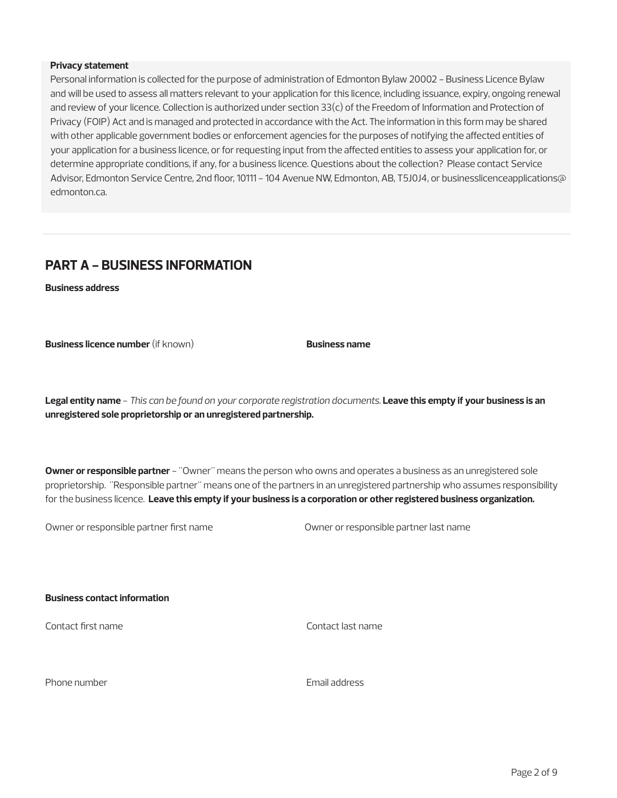#### **Privacy statement**

Personal information is collected for the purpose of administration of Edmonton Bylaw 20002 - Business Licence Bylaw and will be used to assess all matters relevant to your application for this licence, including issuance, expiry, ongoing renewal and review of your licence. Collection is authorized under section 33(c) of the Freedom of Information and Protection of Privacy (FOIP) Act and is managed and protected in accordance with the Act. The information in this form may be shared with other applicable government bodies or enforcement agencies for the purposes of notifying the affected entities of your application for a business licence, or for requesting input from the affected entities to assess your application for, or determine appropriate conditions, if any, for a business licence. Questions about the collection? Please contact Service Advisor, Edmonton Service Centre, 2nd floor, 10111 - 104 Avenue NW, Edmonton, AB, T5J0J4, or businesslicenceapplications@ edmonton.ca.

### **PART A - BUSINESS INFORMATION**

**Business address**

**Business licence number** (if known) **Business name** 

**Legal entity name** - *This can be found on your corporate registration documents.* **Leave this empty if your business is an unregistered sole proprietorship or an unregistered partnership.**

**Owner or responsible partner** - "Owner" means the person who owns and operates a business as an unregistered sole proprietorship. "Responsible partner" means one of the partners in an unregistered partnership who assumes responsibility for the business licence. **Leave this empty if your business is a corporation or other registered business organization.**

Owner or responsible partner first name Owner or responsible partner last name

**Business contact information**

Contact first name Contact last name

Phone number **Email address**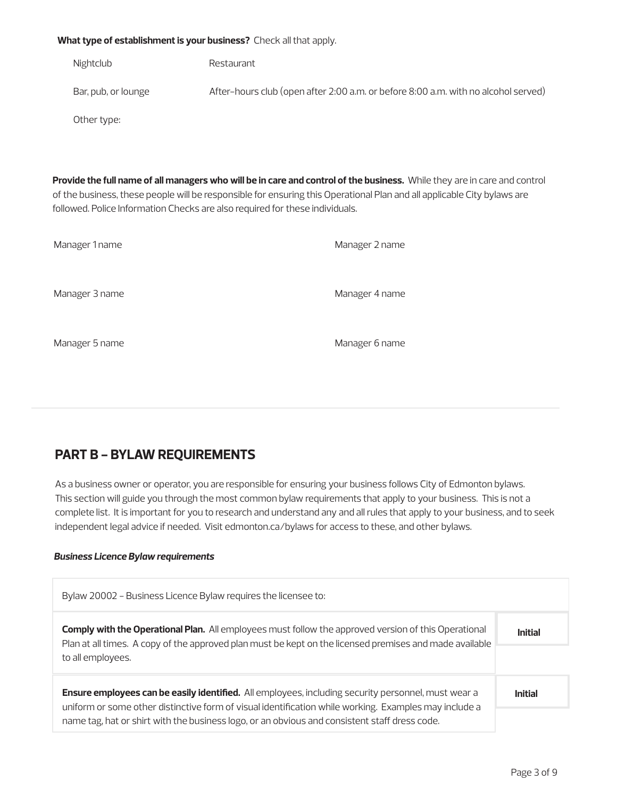#### **What type of establishment is your business?** Check all that apply.

Nightclub Restaurant

Bar, pub, or lounge After-hours club (open after 2:00 a.m. or before 8:00 a.m. with no alcohol served)

Other type:

**Provide the full name of all managers who will be in care and control of the business.** While they are in care and control of the business, these people will be responsible for ensuring this Operational Plan and all applicable City bylaws are followed. Police Information Checks are also required for these individuals.

| Manager 1 name | Manager 2 name |
|----------------|----------------|
| Manager 3 name | Manager 4 name |
| Manager 5 name | Manager 6 name |

### **PART B - BYLAW REQUIREMENTS**

As a business owner or operator, you are responsible for ensuring your business follows City of Edmonton bylaws. This section will guide you through the most common bylaw requirements that apply to your business. This is not a complete list. It is important for you to research and understand any and all rules that apply to your business, and to seek independent legal advice if needed. Visit edmonton.ca/bylaws for access to these, and other bylaws.

#### *Business Licence Bylaw requirements*

| Bylaw 20002 - Business Licence Bylaw requires the licensee to:                                                                                                                                                                                                                                                |                |
|---------------------------------------------------------------------------------------------------------------------------------------------------------------------------------------------------------------------------------------------------------------------------------------------------------------|----------------|
| <b>Comply with the Operational Plan.</b> All employees must follow the approved version of this Operational<br>Plan at all times. A copy of the approved plan must be kept on the licensed premises and made available<br>to all employees.                                                                   | Initial        |
| Ensure employees can be easily identified. All employees, including security personnel, must wear a<br>uniform or some other distinctive form of visual identification while working. Examples may include a<br>name tag, hat or shirt with the business logo, or an obvious and consistent staff dress code. | <b>Initial</b> |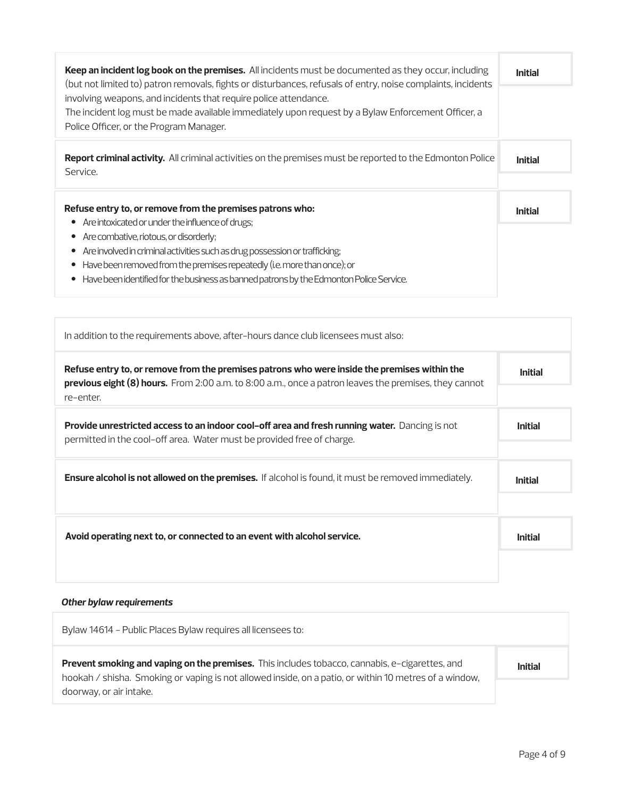| Keep an incident log book on the premises. All incidents must be documented as they occur, including<br>(but not limited to) patron removals, fights or disturbances, refusals of entry, noise complaints, incidents                                                                                                                                                   |                |
|------------------------------------------------------------------------------------------------------------------------------------------------------------------------------------------------------------------------------------------------------------------------------------------------------------------------------------------------------------------------|----------------|
| involving weapons, and incidents that require police attendance.<br>The incident log must be made available immediately upon request by a Bylaw Enforcement Officer, a<br>Police Officer, or the Program Manager.                                                                                                                                                      |                |
| Report criminal activity. All criminal activities on the premises must be reported to the Edmonton Police<br>Service.                                                                                                                                                                                                                                                  | <b>Initial</b> |
| Refuse entry to, or remove from the premises patrons who:<br>Are intoxicated or under the influence of drugs;<br>$\bullet$<br>Are combative, riotous, or disorderly;<br>$\bullet$<br>Are involved in criminal activities such as drug possession or trafficking;<br>$\bullet$<br>Have been removed from the premises repeatedly (i.e. more than once); or<br>$\bullet$ | <b>Initial</b> |
| Have been identified for the business as banned patrons by the Edmonton Police Service.<br>$\bullet$                                                                                                                                                                                                                                                                   |                |

| In addition to the requirements above, after-hours dance club licensees must also:                                                                                                                                 |                |
|--------------------------------------------------------------------------------------------------------------------------------------------------------------------------------------------------------------------|----------------|
| Refuse entry to, or remove from the premises patrons who were inside the premises within the<br>previous eight (8) hours. From 2:00 a.m. to 8:00 a.m., once a patron leaves the premises, they cannot<br>re-enter. | <b>Initial</b> |
| <b>Provide unrestricted access to an indoor cool-off area and fresh running water.</b> Dancing is not<br>permitted in the cool-off area. Water must be provided free of charge.                                    | <b>Initial</b> |
| <b>Ensure alcohol is not allowed on the premises.</b> If alcohol is found, it must be removed immediately.                                                                                                         | <b>Initial</b> |
| Avoid operating next to, or connected to an event with alcohol service.                                                                                                                                            | <b>Initial</b> |

### *Other bylaw requirements*

| Bylaw 14614 - Public Places Bylaw requires all licensees to:                                                                                                                                                    |                |
|-----------------------------------------------------------------------------------------------------------------------------------------------------------------------------------------------------------------|----------------|
| <b>Prevent smoking and vaping on the premises.</b> This includes tobacco, cannabis, e-cigarettes, and<br>hookah / shisha. Smoking or vaping is not allowed inside, on a patio, or within 10 metres of a window, | <b>Initial</b> |
| doorway, or air intake.                                                                                                                                                                                         |                |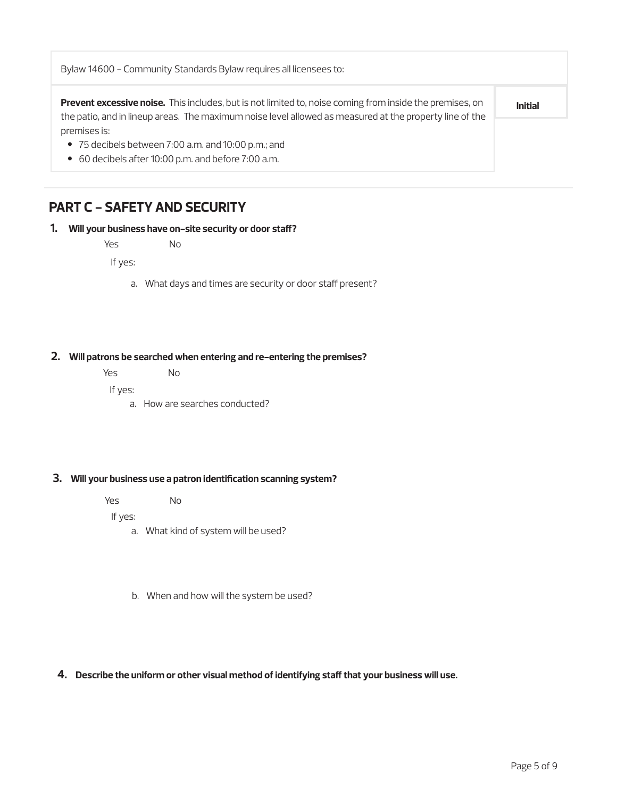| Bylaw 14600 - Community Standards Bylaw requires all licensees to:                                                                                                                                                  |                |
|---------------------------------------------------------------------------------------------------------------------------------------------------------------------------------------------------------------------|----------------|
| Prevent excessive noise. This includes, but is not limited to, noise coming from inside the premises, on<br>the patio, and in lineup areas. The maximum noise level allowed as measured at the property line of the | <b>Initial</b> |
| premises is:                                                                                                                                                                                                        |                |
| $\bullet$ 75 decibels between 7:00 a.m. and 10:00 p.m.; and                                                                                                                                                         |                |
| • 60 decibels after 10:00 p.m. and before 7:00 a.m.                                                                                                                                                                 |                |

### **PART C - SAFETY AND SECURITY**

#### **1. Will your business have on-site security or door staff?**

Yes No

If yes:

a. What days and times are security or door staff present?

#### **2. Will patrons be searched when entering and re-entering the premises?**

| Yes | No. |
|-----|-----|
|     |     |

If yes:

a. How are searches conducted?

#### **3. Will your business use a patron identification scanning system?**

| Yes | No |
|-----|----|
|     |    |

If yes:

- a. What kind of system will be used?
- b. When and how will the system be used?

#### **4. Describe the uniform or other visual method of identifying staff that your business will use.**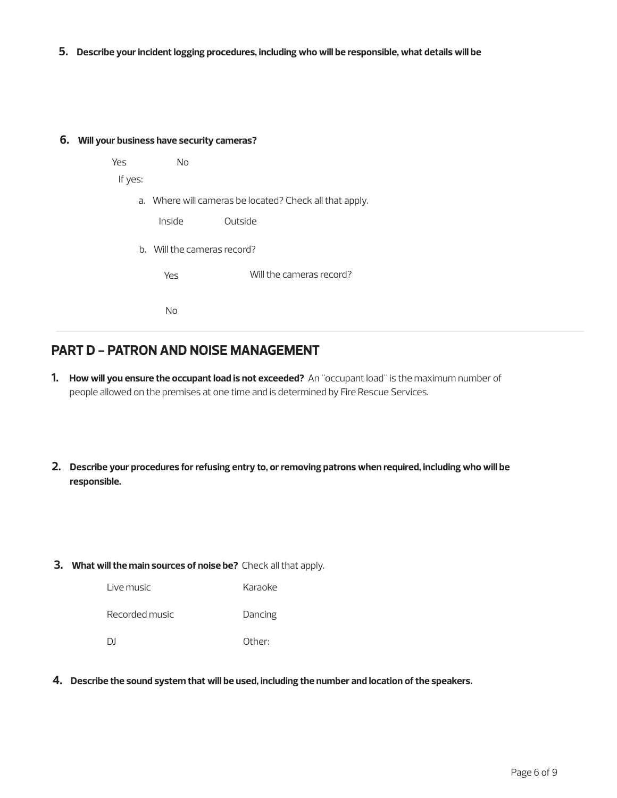**5. Describe your incident logging procedures, including who will be responsible, what details will be** 

#### **6. Will your business have security cameras?**

| Yes     | No     |                                                         |
|---------|--------|---------------------------------------------------------|
| If yes: |        |                                                         |
|         |        | a. Where will cameras be located? Check all that apply. |
|         | Inside | Outside                                                 |
|         |        | b. Will the cameras record?                             |
|         | Yes    | Will the cameras record?                                |
|         | No     |                                                         |

### **PART D - PATRON AND NOISE MANAGEMENT**

- **1. How will you ensure the occupant load is not exceeded?** An "occupant load" is the maximum number of people allowed on the premises at one time and is determined by Fire Rescue Services.
- **2. Describe your procedures for refusing entry to, or removing patrons when required, including who will be responsible.**
- **3. What will the main sources of noise be?** Check all that apply.

| Live music     | Karaoke |
|----------------|---------|
| Recorded music | Dancing |
| DΙ             | Other:  |

**4. Describe the sound system that will be used, including the number and location of the speakers.**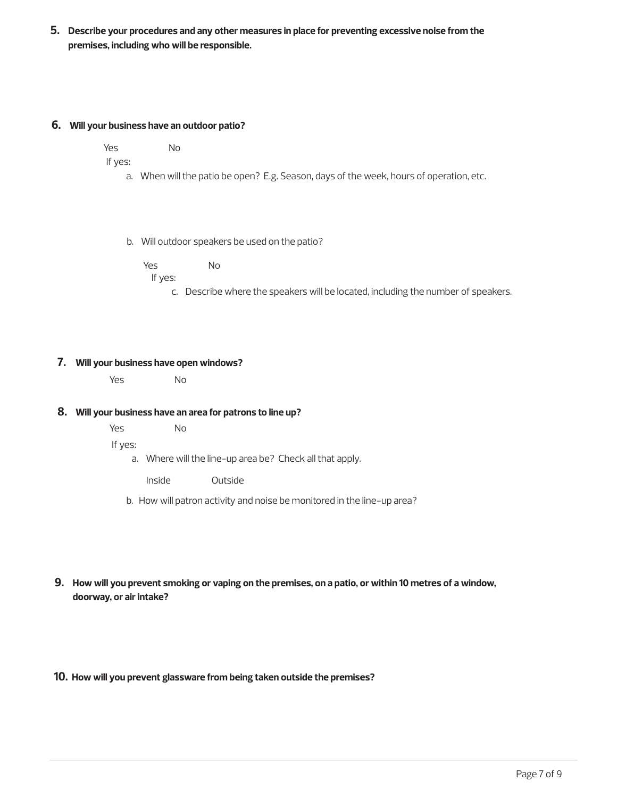**5. Describe your procedures and any other measures in place for preventing excessive noise from the premises, including who will be responsible.**

#### **6. Will your business have an outdoor patio?**

Yes No

If yes:

a. When will the patio be open? E.g. Season, days of the week, hours of operation, etc.

b. Will outdoor speakers be used on the patio?

Yes No If yes:

c. Describe where the speakers will be located, including the number of speakers.

#### **7. Will your business have open windows?**

Yes No

#### **8. Will your business have an area for patrons to line up?**

Yes No

If yes:

a. Where will the line-up area be? Check all that apply.

Inside Outside

- b. How will patron activity and noise be monitored in the line-up area?
- **9. How will you prevent smoking or vaping on the premises, on a patio, or within 10 metres of a window, doorway, or air intake?**

**10. How will you prevent glassware from being taken outside the premises?**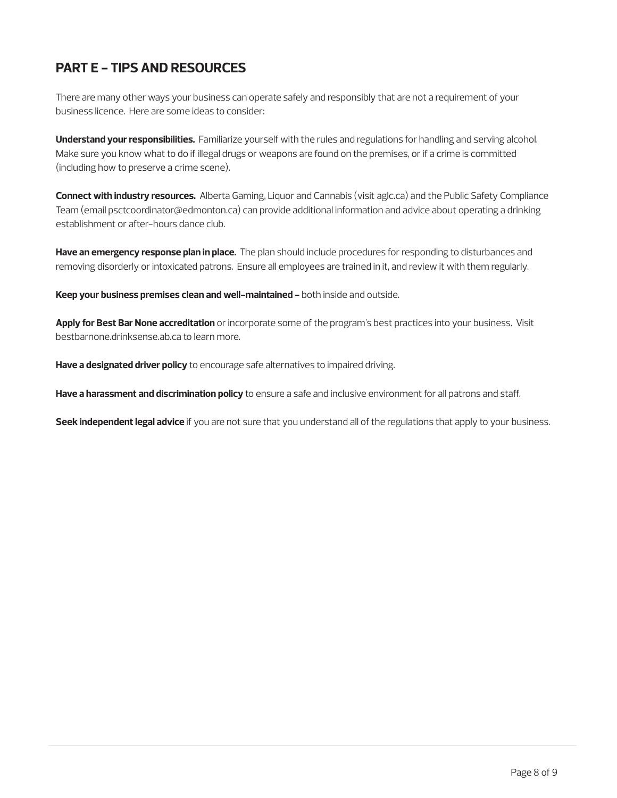## **PART E - TIPS AND RESOURCES**

There are many other ways your business can operate safely and responsibly that are not a requirement of your business licence. Here are some ideas to consider:

**Understand your responsibilities.** Familiarize yourself with the rules and regulations for handling and serving alcohol. Make sure you know what to do if illegal drugs or weapons are found on the premises, or if a crime is committed (including how to preserve a crime scene).

**Connect with industry resources.** Alberta Gaming, Liquor and Cannabis (visit aglc.ca) and the Public Safety Compliance Team (email psctcoordinator@edmonton.ca) can provide additional information and advice about operating a drinking establishment or after-hours dance club.

**Have an emergency response plan in place.** The plan should include procedures for responding to disturbances and removing disorderly or intoxicated patrons. Ensure all employees are trained in it, and review it with them regularly.

**Keep your business premises clean and well-maintained -** both inside and outside.

**Apply for Best Bar None accreditation** or incorporate some of the program's best practices into your business. Visit bestbarnone.drinksense.ab.ca to learn more.

**Have a designated driver policy** to encourage safe alternatives to impaired driving.

**Have a harassment and discrimination policy** to ensure a safe and inclusive environment for all patrons and staff.

**Seek independent legal advice** if you are not sure that you understand all of the regulations that apply to your business.